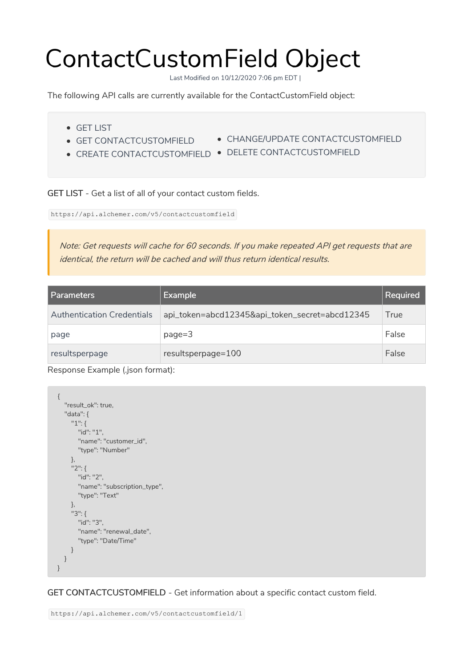## ContactCustomField Object

Last Modified on 10/12/2020 7:06 pm EDT |

The following API calls are currently available for the ContactCustomField object:

- GET LIST
- **GET CONTACTCUSTOMFIELD**
- CHANGE/UPDATE CONTACTCUSTOMFIELD
- - CREATE CONTACTCUSTOMFIELD DELETE CONTACTCUSTOMFIELD

GET LIST - Get a list of all of your contact custom fields.

https://api.alchemer.com/v5/contactcustomfield

Note: Get requests will cache for 60 seconds. If you make repeated API get requests that are identical, the return will be cached and will thus return identical results.

| Parameters                        | <b>Example</b>                                 | <b>Required</b> |
|-----------------------------------|------------------------------------------------|-----------------|
| <b>Authentication Credentials</b> | api_token=abcd12345&api_token_secret=abcd12345 | True            |
| page                              | $page = 3$                                     | False           |
| resultsperpage                    | resultsperpage=100                             | False           |

Response Example (.json format):

```
{
  "result_ok": true,
  "data": {
    "1": {
      "id": "1",
      "name": "customer_id",
      "type": "Number"
    },
    "2": {
      "id": "2",
      "name": "subscription_type",
      "type": "Text"
    },
    "3": {
      "id": "3",
      "name": "renewal_date",
      "type": "Date/Time"
    }
  }
}
```
GET CONTACTCUSTOMFIELD - Get information about a specific contact custom field.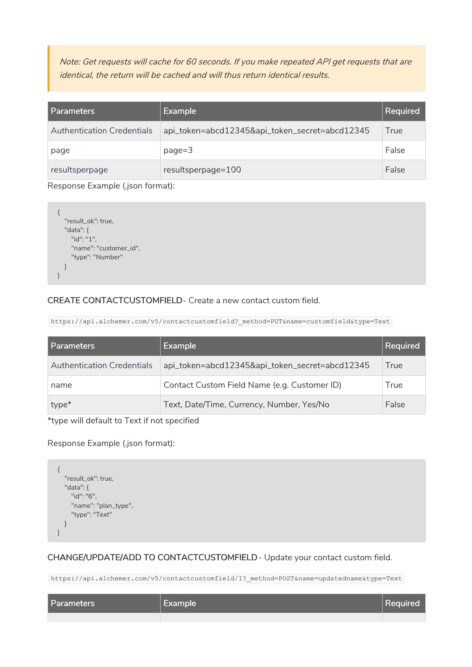Note: Get requests will cache for 60 seconds. If you make repeated API get requests that are identical, the return will be cached and will thus return identical results.

| l Parameters                      | <b>Example</b>                                 | Required |
|-----------------------------------|------------------------------------------------|----------|
| <b>Authentication Credentials</b> | api_token=abcd12345&api_token_secret=abcd12345 | True     |
| page                              | $page = 3$                                     | False    |
| resultsperpage                    | resultsperpage=100                             | False    |

Response Example (.json format):

```
{
  "result_ok": true,
  "data": {
   "id": "1",
   "name": "customer_id",
    "type": "Number"
  }
}
```
## CREATE CONTACTCUSTOMFIELD- Create a new contact custom field.

https://api.alchemer.com/v5/contactcustomfield? method=PUT&name=customfield&type=Text

| Parameters                        | Example                                        | <b>Required</b> |
|-----------------------------------|------------------------------------------------|-----------------|
| <b>Authentication Credentials</b> | api_token=abcd12345&api_token_secret=abcd12345 | True            |
| name                              | Contact Custom Field Name (e.g. Customer ID)   | True            |
| type*                             | Text, Date/Time, Currency, Number, Yes/No      | False           |

\*type will default to Text if not specified

Response Example (.json format):

```
{
  "result_ok": true,
  "data": {
    "id": "6",
    "name": "plan_type",
    "type": "Text"
  }
}
```
CHANGE/UPDATE/ADD TO CONTACTCUSTOMFIELD- Update your contact custom field.

https://api.alchemer.com/v5/contactcustomfield/1? method=POST&name=updatedname&type=Text

| <b>Parameters</b> | V Example | Required |
|-------------------|-----------|----------|
|                   |           |          |